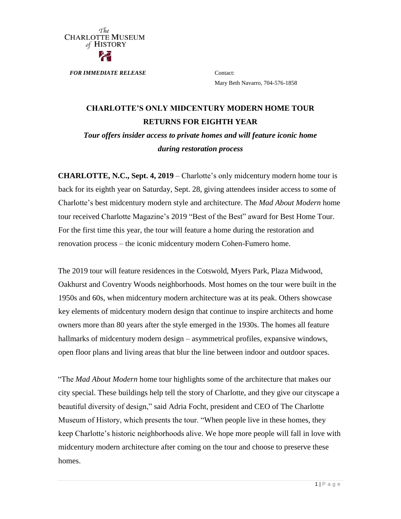

*FOR IMMEDIATE RELEASE* Contact:

Mary Beth Navarro, 704-576-1858

### **CHARLOTTE'S ONLY MIDCENTURY MODERN HOME TOUR RETURNS FOR EIGHTH YEAR**

*Tour offers insider access to private homes and will feature iconic home during restoration process*

**CHARLOTTE, N.C., Sept. 4, 2019** – Charlotte's only midcentury modern home tour is back for its eighth year on Saturday, Sept. 28, giving attendees insider access to some of Charlotte's best midcentury modern style and architecture. The *Mad About Modern* home tour received Charlotte Magazine's 2019 "Best of the Best" award for Best Home Tour. For the first time this year, the tour will feature a home during the restoration and renovation process – the iconic midcentury modern Cohen-Fumero home.

The 2019 tour will feature residences in the Cotswold, Myers Park, Plaza Midwood, Oakhurst and Coventry Woods neighborhoods. Most homes on the tour were built in the 1950s and 60s, when midcentury modern architecture was at its peak. Others showcase key elements of midcentury modern design that continue to inspire architects and home owners more than 80 years after the style emerged in the 1930s. The homes all feature hallmarks of midcentury modern design – asymmetrical profiles, expansive windows, open floor plans and living areas that blur the line between indoor and outdoor spaces.

"The *Mad About Modern* home tour highlights some of the architecture that makes our city special. These buildings help tell the story of Charlotte, and they give our cityscape a beautiful diversity of design," said Adria Focht, president and CEO of The Charlotte Museum of History, which presents the tour. "When people live in these homes, they keep Charlotte's historic neighborhoods alive. We hope more people will fall in love with midcentury modern architecture after coming on the tour and choose to preserve these homes.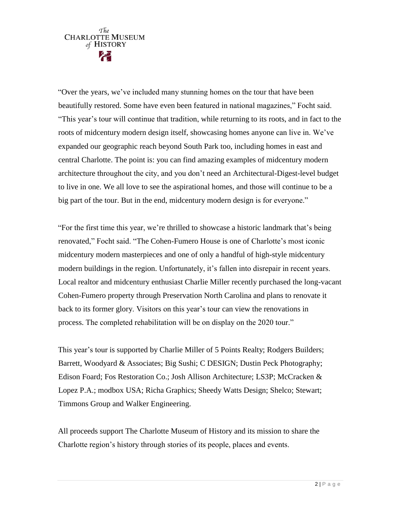## $\tau$ fie CHARLOTTE MUSEUM of HISTORY

"Over the years, we've included many stunning homes on the tour that have been beautifully restored. Some have even been featured in national magazines," Focht said. "This year's tour will continue that tradition, while returning to its roots, and in fact to the roots of midcentury modern design itself, showcasing homes anyone can live in. We've expanded our geographic reach beyond South Park too, including homes in east and central Charlotte. The point is: you can find amazing examples of midcentury modern architecture throughout the city, and you don't need an Architectural-Digest-level budget to live in one. We all love to see the aspirational homes, and those will continue to be a big part of the tour. But in the end, midcentury modern design is for everyone."

"For the first time this year, we're thrilled to showcase a historic landmark that's being renovated," Focht said. "The Cohen-Fumero House is one of Charlotte's most iconic midcentury modern masterpieces and one of only a handful of high-style midcentury modern buildings in the region. Unfortunately, it's fallen into disrepair in recent years. Local realtor and midcentury enthusiast Charlie Miller recently purchased the long-vacant Cohen-Fumero property through Preservation North Carolina and plans to renovate it back to its former glory. Visitors on this year's tour can view the renovations in process. The completed rehabilitation will be on display on the 2020 tour."

This year's tour is supported by Charlie Miller of 5 Points Realty; Rodgers Builders; Barrett, Woodyard & Associates; Big Sushi; C DESIGN; Dustin Peck Photography; Edison Foard; Fos Restoration Co.; Josh Allison Architecture; LS3P; McCracken & Lopez P.A.; modbox USA; Richa Graphics; Sheedy Watts Design; Shelco; Stewart; Timmons Group and Walker Engineering.

All proceeds support The Charlotte Museum of History and its mission to share the Charlotte region's history through stories of its people, places and events.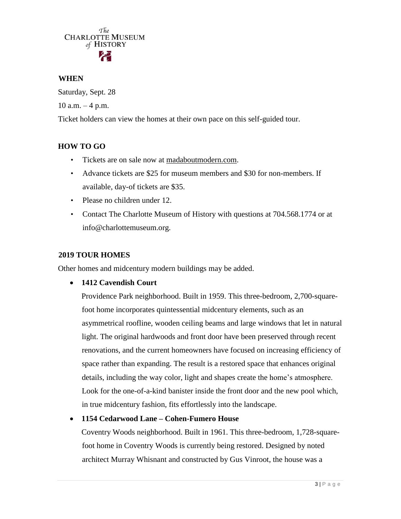# $\tau_{he}^{The}$  CHARLOTTE MUSEUM of HISTORY

#### **WHEN**

Saturday, Sept. 28  $10$  a.m.  $-4$  p.m.

Ticket holders can view the homes at their own pace on this self-guided tour.

### **HOW TO GO**

- Tickets are on sale now at [madaboutmodern.com.](https://www.madaboutmodern.com/)
- Advance tickets are \$25 for museum members and \$30 for non-members. If available, day-of tickets are \$35.
- Please no children under 12.
- Contact The Charlotte Museum of History with questions at 704.568.1774 or at info@charlottemuseum.org.

#### **2019 TOUR HOMES**

Other homes and midcentury modern buildings may be added.

**1412 Cavendish Court**

Providence Park neighborhood. Built in 1959. This three-bedroom, 2,700-squarefoot home incorporates quintessential midcentury elements, such as an asymmetrical roofline, wooden ceiling beams and large windows that let in natural light. The original hardwoods and front door have been preserved through recent renovations, and the current homeowners have focused on increasing efficiency of space rather than expanding. The result is a restored space that enhances original details, including the way color, light and shapes create the home's atmosphere. Look for the one-of-a-kind banister inside the front door and the new pool which, in true midcentury fashion, fits effortlessly into the landscape.

#### **1154 Cedarwood Lane – Cohen-Fumero House**

Coventry Woods neighborhood. Built in 1961. This three-bedroom, 1,728-squarefoot home in Coventry Woods is currently being restored. Designed by noted architect Murray Whisnant and constructed by Gus Vinroot, the house was a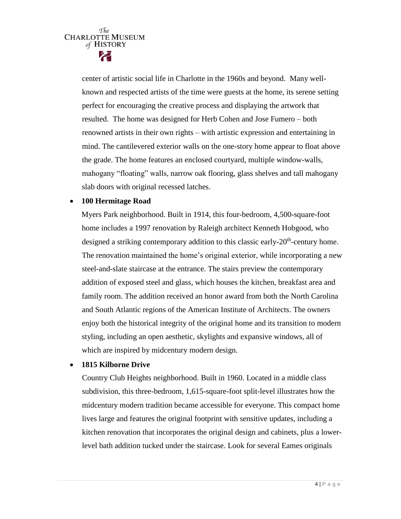center of artistic social life in Charlotte in the 1960s and beyond. Many wellknown and respected artists of the time were guests at the home, its serene setting perfect for encouraging the creative process and displaying the artwork that resulted. The home was designed for Herb Cohen and Jose Fumero – both renowned artists in their own rights – with artistic expression and entertaining in mind. The cantilevered exterior walls on the one-story home appear to float above the grade. The home features an enclosed courtyard, multiple window-walls, mahogany "floating" walls, narrow oak flooring, glass shelves and tall mahogany slab doors with original recessed latches.

#### **100 Hermitage Road**

Myers Park neighborhood. Built in 1914, this four-bedroom, 4,500-square-foot home includes a 1997 renovation by Raleigh architect Kenneth Hobgood, who designed a striking contemporary addition to this classic early-20<sup>th</sup>-century home. The renovation maintained the home's original exterior, while incorporating a new steel-and-slate staircase at the entrance. The stairs preview the contemporary addition of exposed steel and glass, which houses the kitchen, breakfast area and family room. The addition received an honor award from both the North Carolina and South Atlantic regions of the American Institute of Architects. The owners enjoy both the historical integrity of the original home and its transition to modern styling, including an open aesthetic, skylights and expansive windows, all of which are inspired by midcentury modern design.

#### **1815 Kilborne Drive**

Country Club Heights neighborhood. Built in 1960. Located in a middle class subdivision, this three-bedroom, 1,615-square-foot split-level illustrates how the midcentury modern tradition became accessible for everyone. This compact home lives large and features the original footprint with sensitive updates, including a kitchen renovation that incorporates the original design and cabinets, plus a lowerlevel bath addition tucked under the staircase. Look for several Eames originals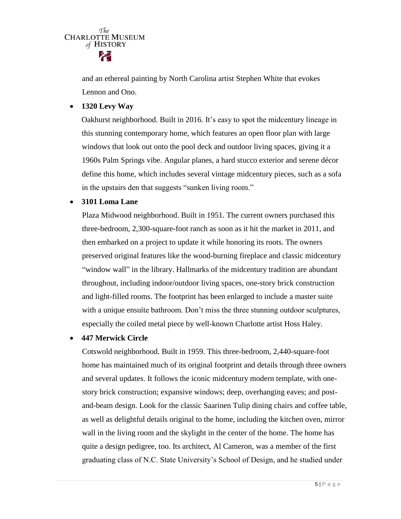

and an ethereal painting by North Carolina artist Stephen White that evokes Lennon and Ono.

**1320 Levy Way** 

Oakhurst neighborhood. Built in 2016. It's easy to spot the midcentury lineage in this stunning contemporary home, which features an open floor plan with large windows that look out onto the pool deck and outdoor living spaces, giving it a 1960s Palm Springs vibe. Angular planes, a hard stucco exterior and serene décor define this home, which includes several vintage midcentury pieces, such as a sofa in the upstairs den that suggests "sunken living room."

**3101 Loma Lane**

Plaza Midwood neighborhood. Built in 1951. The current owners purchased this three-bedroom, 2,300-square-foot ranch as soon as it hit the market in 2011, and then embarked on a project to update it while honoring its roots. The owners preserved original features like the wood-burning fireplace and classic midcentury "window wall" in the library. Hallmarks of the midcentury tradition are abundant throughout, including indoor/outdoor living spaces, one-story brick construction and light-filled rooms. The footprint has been enlarged to include a master suite with a unique ensuite bathroom. Don't miss the three stunning outdoor sculptures, especially the coiled metal piece by well-known Charlotte artist Hoss Haley.

#### **447 Merwick Circle**

Cotswold neighborhood. Built in 1959. This three-bedroom, 2,440-square-foot home has maintained much of its original footprint and details through three owners and several updates. It follows the iconic midcentury modern template, with onestory brick construction; expansive windows; deep, overhanging eaves; and postand-beam design. Look for the classic Saarinen Tulip dining chairs and coffee table, as well as delightful details original to the home, including the kitchen oven, mirror wall in the living room and the skylight in the center of the home. The home has quite a design pedigree, too. Its architect, Al Cameron, was a member of the first graduating class of N.C. State University's School of Design, and he studied under